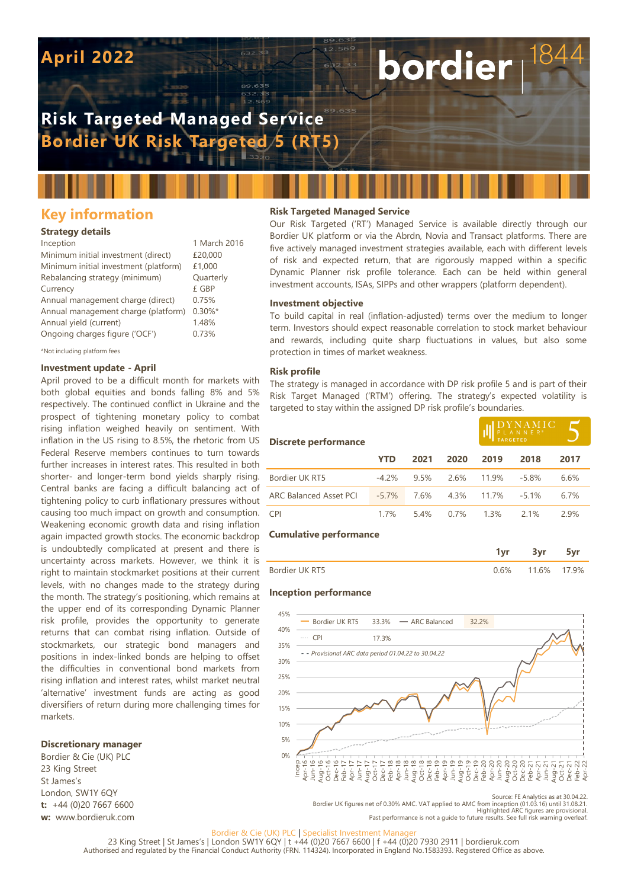# **April 2022**

## **Risk Targeted Managed Service Bordier UK Risk Targeted 5 (RT5)**

## **Key information**

#### **Strategy details**

| Inception                             | 1 March 2016 |
|---------------------------------------|--------------|
| Minimum initial investment (direct)   | £20,000      |
| Minimum initial investment (platform) | £1,000       |
| Rebalancing strategy (minimum)        | Quarterly    |
| Currency                              | £ GBP        |
| Annual management charge (direct)     | 0.75%        |
| Annual management charge (platform)   | $0.30\%$ *   |
| Annual yield (current)                | 1.48%        |
| Ongoing charges figure ('OCF')        | 0.73%        |
|                                       |              |

\*Not including platform fees

#### **Investment update - April**

April proved to be a difficult month for markets with both global equities and bonds falling 8% and 5% respectively. The continued conflict in Ukraine and the prospect of tightening monetary policy to combat rising inflation weighed heavily on sentiment. With inflation in the US rising to 8.5%, the rhetoric from US Federal Reserve members continues to turn towards further increases in interest rates. This resulted in both shorter- and longer-term bond yields sharply rising. Central banks are facing a difficult balancing act of tightening policy to curb inflationary pressures without causing too much impact on growth and consumption. Weakening economic growth data and rising inflation again impacted growth stocks. The economic backdrop is undoubtedly complicated at present and there is uncertainty across markets. However, we think it is right to maintain stockmarket positions at their current levels, with no changes made to the strategy during the month. The strategy's positioning, which remains at the upper end of its corresponding Dynamic Planner risk profile, provides the opportunity to generate returns that can combat rising inflation. Outside of stockmarkets, our strategic bond managers and positions in index-linked bonds are helping to offset the difficulties in conventional bond markets from rising inflation and interest rates, whilst market neutral 'alternative' investment funds are acting as good diversifiers of return during more challenging times for markets.

#### **Discretionary manager**

Bordier & Cie (UK) PLC 23 King Street St James's London, SW1Y 6QY **t:** +44 (0)20 7667 6600 **w:** www.bordieruk.com

#### **Risk Targeted Managed Service**

Our Risk Targeted ('RT') Managed Service is available directly through our Bordier UK platform or via the Abrdn, Novia and Transact platforms. There are five actively managed investment strategies available, each with different levels of risk and expected return, that are rigorously mapped within a specific Dynamic Planner risk profile tolerance. Each can be held within general investment accounts, ISAs, SIPPs and other wrappers (platform dependent).

bordier

#### **Investment objective**

To build capital in real (inflation-adjusted) terms over the medium to longer term. Investors should expect reasonable correlation to stock market behaviour and rewards, including quite sharp fluctuations in values, but also some protection in times of market weakness.

#### **Risk profile**

The strategy is managed in accordance with DP risk profile 5 and is part of their Risk Target Managed ('RTM') offering. The strategy's expected volatility is targeted to stay within the assigned DP risk profile's boundaries.

| Discrete performance          |          |      |      |       | $\begin{array}{ c c c }\n\textbf{D} \textbf{Y} \textbf{N} \textbf{A} \textbf{M} \textbf{I} \textbf{C} \\ \textbf{P} \textbf{L} \textbf{A} \textbf{N} \textbf{N} \textbf{E} \textbf{R}^*}\n\end{array}$ |      |  |
|-------------------------------|----------|------|------|-------|--------------------------------------------------------------------------------------------------------------------------------------------------------------------------------------------------------|------|--|
|                               | YTD      | 2021 | 2020 | 2019  | 2018                                                                                                                                                                                                   | 2017 |  |
| Bordier UK RT5                | $-4.2\%$ | 9.5% | 2.6% | 11.9% | $-5.8%$                                                                                                                                                                                                | 6.6% |  |
| <b>ARC Balanced Asset PCI</b> | $-5.7\%$ | 7.6% | 4.3% | 11.7% | $-51%$                                                                                                                                                                                                 | 6.7% |  |
| <b>CPI</b>                    | 17%      | 54%  | 0.7% | 1.3%  | 21%                                                                                                                                                                                                    | 29%  |  |

#### **Cumulative performance**

|                |    | ,    |      |
|----------------|----|------|------|
| Bordier UK RT5 | 6% | 1.6% | ' 9% |

#### **Inception performance**



Source: FE Analytics as at 30.04.22. Bordier UK figures net of 0.30% AMC. VAT applied to AMC from inception (01.03.16) until 31.08.21. Highlighted ARC figures are provisional. Past performance is not a guide to future results. See full risk warning overleaf.

#### Bordier & Cie (UK) PLC | Specialist Investment Manag

23 King Street | St James's | London SW1Y 6QY | t +44 (0)20 7667 6600 | f +44 (0)20 7930 2911 | bordieruk.com Authorised and regulated by the Financial Conduct Authority (FRN. 114324). Incorporated in England No.1583393. Registered Office as above.